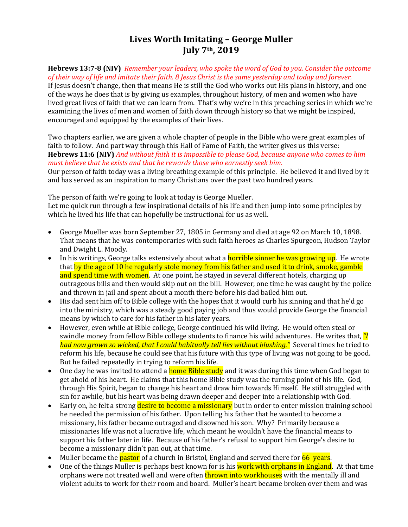# **Lives Worth Imitating – George Muller July 7th, 2019**

**Hebrews 13:7-8 (NIV)** *Remember your leaders, who spoke the word of God to you. Consider the outcome of their way of life and imitate their faith. 8 Jesus Christ is the same yesterday and today and forever.*

If Jesus doesn't change, then that means He is still the God who works out His plans in history, and one of the ways he does that is by giving us examples, throughout history, of men and women who have lived great lives of faith that we can learn from. That's why we're in this preaching series in which we're examining the lives of men and women of faith down through history so that we might be inspired, encouraged and equipped by the examples of their lives.

Two chapters earlier, we are given a whole chapter of people in the Bible who were great examples of faith to follow. And part way through this Hall of Fame of Faith, the writer gives us this verse: **Hebrews 11:6 (NIV)** *And without faith it is impossible to please God, because anyone who comes to him must believe that he exists and that he rewards those who earnestly seek him.*

Our person of faith today was a living breathing example of this principle. He believed it and lived by it and has served as an inspiration to many Christians over the past two hundred years.

The person of faith we're going to look at today is George Mueller. Let me quick run through a few inspirational details of his life and then jump into some principles by which he lived his life that can hopefully be instructional for us as well.

- George Mueller was born September 27, 1805 in Germany and died at age 92 on March 10, 1898. That means that he was contemporaries with such faith heroes as Charles Spurgeon, Hudson Taylor and Dwight L. Moody.
- In his writings, George talks extensively about what a **horrible sinner he was growing up**. He wrote that by the age of 10 he regularly stole money from his father and used it to drink, smoke, gamble and spend time with women. At one point, he stayed in several different hotels, charging up outrageous bills and then would skip out on the bill. However, one time he was caught by the police and thrown in jail and spent about a month there before his dad bailed him out.
- His dad sent him off to Bible college with the hopes that it would curb his sinning and that he'd go into the ministry, which was a steady good paying job and thus would provide George the financial means by which to care for his father in his later years.
- However, even while at Bible college, George continued his wild living. He would often steal or swindle money from fellow Bible college students to finance his wild adventures. He writes that, *"I had now grown so wicked, that I could habitually tell lies without blushing."* Several times he tried to reform his life, because he could see that his future with this type of living was not going to be good. But he failed repeatedly in trying to reform his life.
- One day he was invited to attend a **home Bible study** and it was during this time when God began to get ahold of his heart. He claims that this home Bible study was the turning point of his life. God, through His Spirit, began to change his heart and draw him towards Himself. He still struggled with sin for awhile, but his heart was being drawn deeper and deeper into a relationship with God.
- Early on, he felt a strong desire to become a missionary but in order to enter mission training school he needed the permission of his father. Upon telling his father that he wanted to become a missionary, his father became outraged and disowned his son. Why? Primarily because a missionaries life was not a lucrative life, which meant he wouldn't have the financial means to support his father later in life. Because of his father's refusal to support him George's desire to become a missionary didn't pan out, at that time.
- Muller became the **pastor** of a church in Bristol, England and served there for 66 years.
- One of the things Muller is perhaps best known for is his work with orphans in England. At that time orphans were not treated well and were often thrown into workhouses with the mentally ill and violent adults to work for their room and board. Muller's heart became broken over them and was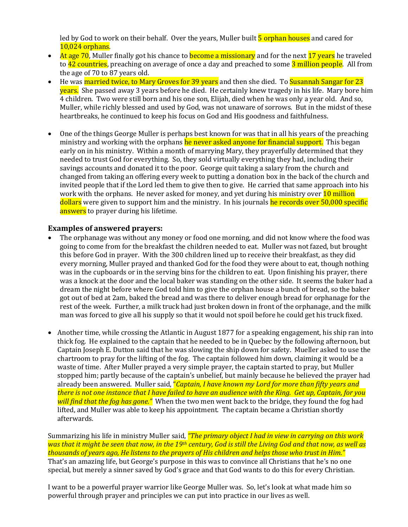led by God to work on their behalf. Over the years, Muller built 5 orphan houses and cared for 10,024 orphans.

- At age 70, Muller finally got his chance to **become a missionary** and for the next  $17$  years he traveled to 42 countries, preaching on average of once a day and preached to some 3 million people. All from the age of 70 to 87 years old.
- He was married twice, to Mary Groves for 39 years and then she died. To Susannah Sangar for 23 years. She passed away 3 years before he died. He certainly knew tragedy in his life. Mary bore him 4 children. Two were still born and his one son, Elijah, died when he was only a year old. And so, Muller, while richly blessed and used by God, was not unaware of sorrows. But in the midst of these heartbreaks, he continued to keep his focus on God and His goodness and faithfulness.
- One of the things George Muller is perhaps best known for was that in all his years of the preaching ministry and working with the orphans he never asked anyone for financial support. This began early on in his ministry. Within a month of marrying Mary, they prayerfully determined that they needed to trust God for everything. So, they sold virtually everything they had, including their savings accounts and donated it to the poor. George quit taking a salary from the church and changed from taking an offering every week to putting a donation box in the back of the church and invited people that if the Lord led them to give then to give. He carried that same approach into his work with the orphans. He never asked for money, and yet during his ministry over 10 million dollars were given to support him and the ministry. In his journals he records over 50,000 specific answers to prayer during his lifetime.

#### **Examples of answered prayers:**

- The orphanage was without any money or food one morning, and did not know where the food was going to come from for the breakfast the children needed to eat. Muller was not fazed, but brought this before God in prayer. With the 300 children lined up to receive their breakfast, as they did every morning, Muller prayed and thanked God for the food they were about to eat, though nothing was in the cupboards or in the serving bins for the children to eat. Upon finishing his prayer, there was a knock at the door and the local baker was standing on the other side. It seems the baker had a dream the night before where God told him to give the orphan house a bunch of bread, so the baker got out of bed at 2am, baked the bread and was there to deliver enough bread for orphanage for the rest of the week. Further, a milk truck had just broken down in front of the orphanage, and the milk man was forced to give all his supply so that it would not spoil before he could get his truck fixed.
- Another time, while crossing the Atlantic in August 1877 for a speaking engagement, his ship ran into thick fog. He explained to the captain that he needed to be in Quebec by the following afternoon, but Captain Joseph E. Dutton said that he was slowing the ship down for safety. Mueller asked to use the chartroom to pray for the lifting of the fog. The captain followed him down, claiming it would be a waste of time. After Muller prayed a very simple prayer, the captain started to pray, but Muller stopped him; partly because of the captain's unbelief, but mainly because he believed the prayer had already been answered. Muller said, "*Captain, I have known my Lord for more than fifty years and there is not one instance that I have failed to have an audience with the King. Get up, Captain, for you will find that the fog has gone."* When the two men went back to the bridge, they found the fog had lifted, and Muller was able to keep his appointment. The captain became a Christian shortly afterwards.

Summarizing his life in ministry Muller said, *"The primary object I had in view in carrying on this work was that it might be seen that now, in the 19th century, God is still the Living God and that now, as well as thousands of years ago, He listens to the prayers of His children and helps those who trust in Him."* That's an amazing life, but George's purpose in this was to convince all Christians that he's no one special, but merely a sinner saved by God's grace and that God wants to do this for every Christian.

I want to be a powerful prayer warrior like George Muller was. So, let's look at what made him so powerful through prayer and principles we can put into practice in our lives as well.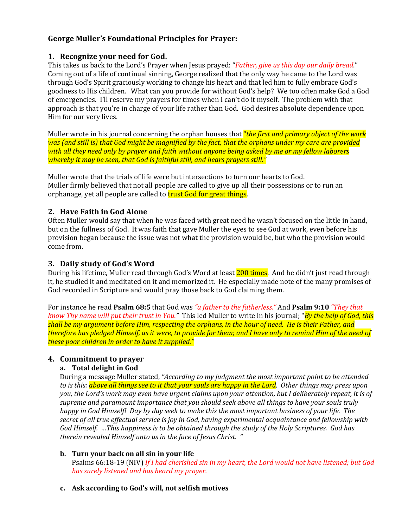## **George Muller's Foundational Principles for Prayer:**

#### **1. Recognize your need for God.**

This takes us back to the Lord's Prayer when Jesus prayed: "*Father, give us this day our daily bread*." Coming out of a life of continual sinning, George realized that the only way he came to the Lord was through God's Spirit graciously working to change his heart and that led him to fully embrace God's goodness to His children. What can you provide for without God's help? We too often make God a God of emergencies. I'll reserve my prayers for times when I can't do it myself. The problem with that approach is that you're in charge of your life rather than God. God desires absolute dependence upon Him for our very lives.

Muller wrote in his journal concerning the orphan houses that "*the first and primary object of the work was (and still is) that God might be magnified by the fact, that the orphans under my care are provided with all they need only by prayer and faith without anyone being asked by me or my fellow laborers whereby it may be seen, that God is faithful still, and hears prayers still."*

Muller wrote that the trials of life were but intersections to turn our hearts to God. Muller firmly believed that not all people are called to give up all their possessions or to run an orphanage, yet all people are called to **trust God for great things**.

### **2. Have Faith in God Alone**

Often Muller would say that when he was faced with great need he wasn't focused on the little in hand, but on the fullness of God. It was faith that gave Muller the eyes to see God at work, even before his provision began because the issue was not what the provision would be, but who the provision would come from.

### **3. Daily study of God's Word**

During his lifetime, Muller read through God's Word at least 200 times. And he didn't just read through it, he studied it and meditated on it and memorized it. He especially made note of the many promises of God recorded in Scripture and would pray those back to God claiming them.

For instance he read **Psalm 68:5** that God was *"a father to the fatherless."* And **Psalm 9:10** *"They that know Thy name will put their trust in You."* This led Muller to write in his journal; "*By the help of God, this shall be my argument before Him, respecting the orphans, in the hour of need. He is their Father, and therefore has pledged Himself, as it were, to provide for them; and I have only to remind Him of the need of these poor children in order to have it supplied."*

### **4. Commitment to prayer**

### **a. Total delight in God**

During a message Muller stated, *"According to my judgment the most important point to be attended to is this: above all things see to it that your souls are happy in the Lord. Other things may press upon you, the Lord's work may even have urgent claims upon your attention, but I deliberately repeat, it is of supreme and paramount importance that you should seek above all things to have your souls truly happy in God Himself! Day by day seek to make this the most important business of your life. The secret of all true effectual service is joy in God, having experimental acquaintance and fellowship with God Himself. …This happiness is to be obtained through the study of the Holy Scriptures. God has therein revealed Himself unto us in the face of Jesus Christ. "*

### **b. Turn your back on all sin in your life**

Psalms 66:18-19 (NIV) *If I had cherished sin in my heart, the Lord would not have listened; but God has surely listened and has heard my prayer.*

### **c. Ask according to God's will, not selfish motives**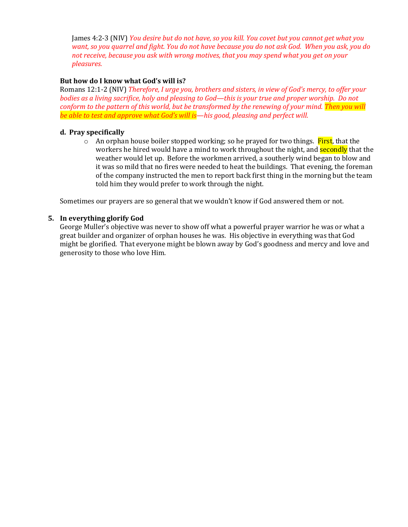James 4:2-3 (NIV) *You desire but do not have, so you kill. You covet but you cannot get what you want, so you quarrel and fight. You do not have because you do not ask God. When you ask, you do not receive, because you ask with wrong motives, that you may spend what you get on your pleasures.*

#### **But how do I know what God's will is?**

Romans 12:1-2 (NIV) *Therefore, I urge you, brothers and sisters, in view of God's mercy, to offer your bodies as a living sacrifice, holy and pleasing to God—this is your true and proper worship. Do not conform to the pattern of this world, but be transformed by the renewing of your mind. Then you will be able to test and approve what God's will is—his good, pleasing and perfect will.*

#### **d. Pray specifically**

 $\circ$  An orphan house boiler stopped working; so he prayed for two things. First, that the workers he hired would have a mind to work throughout the night, and **secondly** that the weather would let up. Before the workmen arrived, a southerly wind began to blow and it was so mild that no fires were needed to heat the buildings. That evening, the foreman of the company instructed the men to report back first thing in the morning but the team told him they would prefer to work through the night.

Sometimes our prayers are so general that we wouldn't know if God answered them or not.

#### **5. In everything glorify God**

George Muller's objective was never to show off what a powerful prayer warrior he was or what a great builder and organizer of orphan houses he was. His objective in everything was that God might be glorified. That everyone might be blown away by God's goodness and mercy and love and generosity to those who love Him.